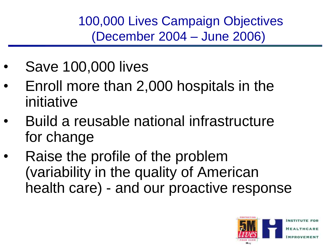100,000 Lives Campaign Objectives (December 2004 – June 2006)

- Save 100,000 lives
- Enroll more than 2,000 hospitals in the initiative
- Build a reusable national infrastructure for change
- Raise the profile of the problem (variability in the quality of American health care) - and our proactive response

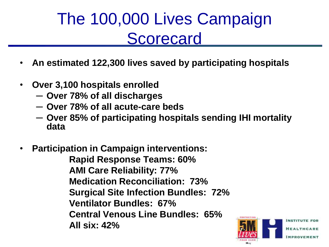## The 100,000 Lives Campaign **Scorecard**

- **An estimated 122,300 lives saved by participating hospitals**
- **Over 3,100 hospitals enrolled**
	- ─ **Over 78% of all discharges**
	- ─ **Over 78% of all acute-care beds**
	- ─ **Over 85% of participating hospitals sending IHI mortality data**
- **Participation in Campaign interventions: Rapid Response Teams: 60% AMI Care Reliability: 77% Medication Reconciliation: 73% Surgical Site Infection Bundles: 72% Ventilator Bundles: 67% Central Venous Line Bundles: 65% All six: 42%**

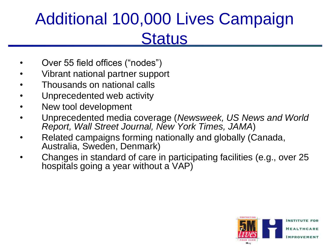## Additional 100,000 Lives Campaign **Status**

- Over 55 field offices ("nodes")
- Vibrant national partner support
- Thousands on national calls
- Unprecedented web activity
- New tool development
- Unprecedented media coverage (*Newsweek, US News and World Report, Wall Street Journal, New York Times, JAMA*)
- Related campaigns forming nationally and globally (Canada, Australia, Sweden, Denmark)
- Changes in standard of care in participating facilities (e.g., over 25 hospitals going a year without a VAP)

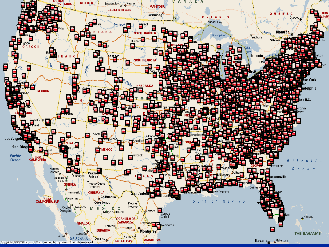